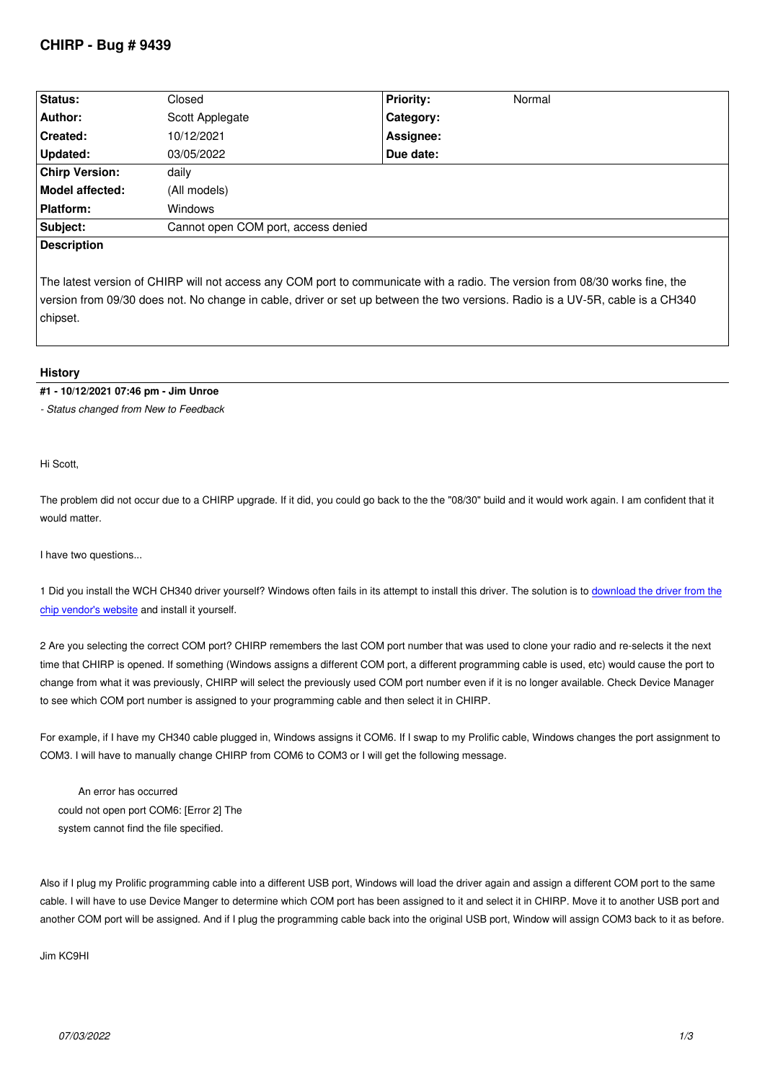| Status:               | Closed                              | <b>Priority:</b>                                                                | Normal                                 |
|-----------------------|-------------------------------------|---------------------------------------------------------------------------------|----------------------------------------|
| Author:               | Scott Applegate                     | Category:                                                                       |                                        |
| Created:              | 10/12/2021                          | Assignee:                                                                       |                                        |
| <b>Updated:</b>       | 03/05/2022                          | Due date:                                                                       |                                        |
| <b>Chirp Version:</b> | daily                               |                                                                                 |                                        |
| Model affected:       | (All models)                        |                                                                                 |                                        |
| Platform:             | <b>Windows</b>                      |                                                                                 |                                        |
| Subject:              | Cannot open COM port, access denied |                                                                                 |                                        |
| <b>Description</b>    |                                     |                                                                                 |                                        |
|                       | $\sim$                              | the contract of the contract of the contract of the contract of the contract of | $\mathbf{r}$ . The set of $\mathbf{r}$ |

*The latest version of CHIRP will not access any COM port to communicate with a radio. The version from 08/30 works fine, the version from 09/30 does not. No change in cable, driver or set up between the two versions. Radio is a UV-5R, cable is a CH340 chipset.*

#### **History**

### **#1 - 10/12/2021 07:46 pm - Jim Unroe**

*- Status changed from New to Feedback*

*Hi Scott,*

*The problem did not occur due to a CHIRP upgrade. If it did, you could go back to the the "08/30" build and it would work again. I am confident that it would matter.*

*I have two questions...*

*1 Did you install the WCH CH340 driver yourself? Windows often fails in its attempt to install this driver. The solution is to download the driver from the chip vendor's website and install it yourself.*

*2 Are you selecting the correct COM port? CHIRP remembers the last COM port number that was used to clone your radio and re-selects it the next* time that CHIRP is opened. If something (Windows assigns a different COM port, a different programming cable is used, [etc\) would cause the port to](http://www.wch-ic.com/search?q=CH340&t=downloads) *[change from what it w](http://www.wch-ic.com/search?q=CH340&t=downloads)as previously, CHIRP will select the previously used COM port number even if it is no longer available. Check Device Manager to see which COM port number is assigned to your programming cable and then select it in CHIRP.*

*For example, if I have my CH340 cable plugged in, Windows assigns it COM6. If I swap to my Prolific cable, Windows changes the port assignment to COM3. I will have to manually change CHIRP from COM6 to COM3 or I will get the following message.*

 *An error has occurred could not open port COM6: [Error 2] The system cannot find the file specified.*

*Also if I plug my Prolific programming cable into a different USB port, Windows will load the driver again and assign a different COM port to the same cable. I will have to use Device Manger to determine which COM port has been assigned to it and select it in CHIRP. Move it to another USB port and another COM port will be assigned. And if I plug the programming cable back into the original USB port, Window will assign COM3 back to it as before.*

*Jim KC9HI*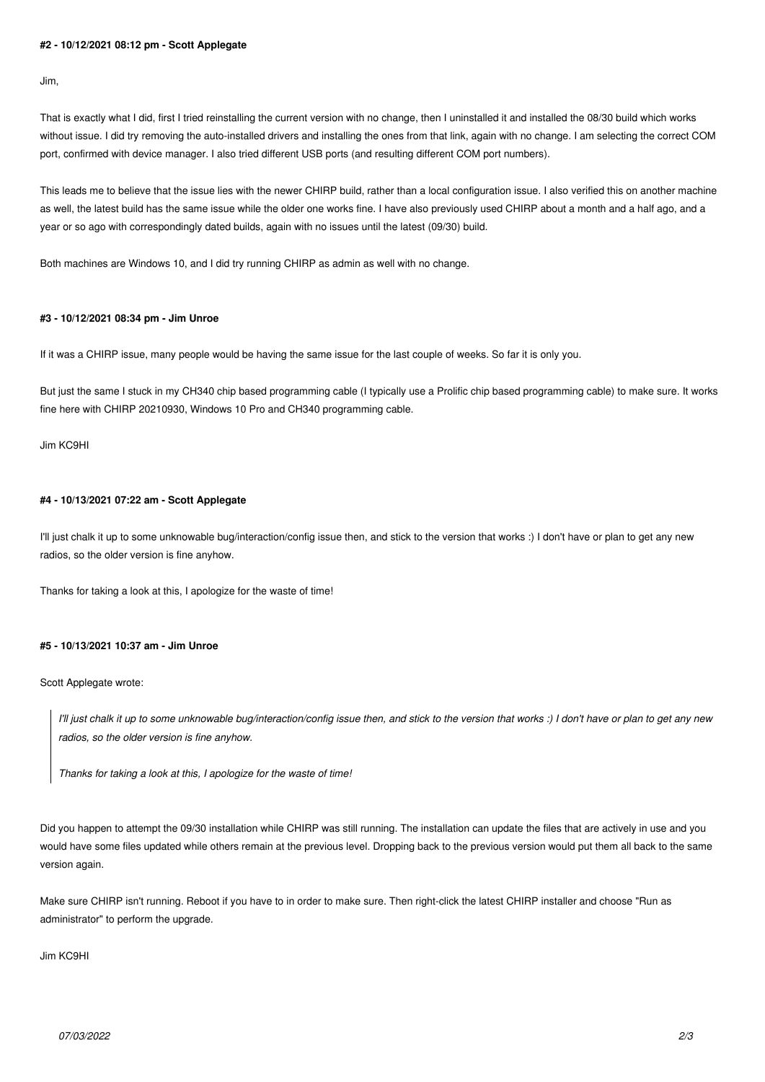# **#2 - 10/12/2021 08:12 pm - Scott Applegate**

*Jim,*

*That is exactly what I did, first I tried reinstalling the current version with no change, then I uninstalled it and installed the 08/30 build which works without issue. I did try removing the auto-installed drivers and installing the ones from that link, again with no change. I am selecting the correct COM port, confirmed with device manager. I also tried different USB ports (and resulting different COM port numbers).*

*This leads me to believe that the issue lies with the newer CHIRP build, rather than a local configuration issue. I also verified this on another machine as well, the latest build has the same issue while the older one works fine. I have also previously used CHIRP about a month and a half ago, and a year or so ago with correspondingly dated builds, again with no issues until the latest (09/30) build.*

*Both machines are Windows 10, and I did try running CHIRP as admin as well with no change.*

## **#3 - 10/12/2021 08:34 pm - Jim Unroe**

*If it was a CHIRP issue, many people would be having the same issue for the last couple of weeks. So far it is only you.*

*But just the same I stuck in my CH340 chip based programming cable (I typically use a Prolific chip based programming cable) to make sure. It works fine here with CHIRP 20210930, Windows 10 Pro and CH340 programming cable.*

*Jim KC9HI*

#### **#4 - 10/13/2021 07:22 am - Scott Applegate**

*I'll just chalk it up to some unknowable bug/interaction/config issue then, and stick to the version that works :) I don't have or plan to get any new radios, so the older version is fine anyhow.*

*Thanks for taking a look at this, I apologize for the waste of time!*

## **#5 - 10/13/2021 10:37 am - Jim Unroe**

*Scott Applegate wrote:*

*I'll just chalk it up to some unknowable bug/interaction/config issue then, and stick to the version that works :) I don't have or plan to get any new radios, so the older version is fine anyhow.*

*Thanks for taking a look at this, I apologize for the waste of time!*

*Did you happen to attempt the 09/30 installation while CHIRP was still running. The installation can update the files that are actively in use and you would have some files updated while others remain at the previous level. Dropping back to the previous version would put them all back to the same version again.*

*Make sure CHIRP isn't running. Reboot if you have to in order to make sure. Then right-click the latest CHIRP installer and choose "Run as administrator" to perform the upgrade.*

*Jim KC9HI*